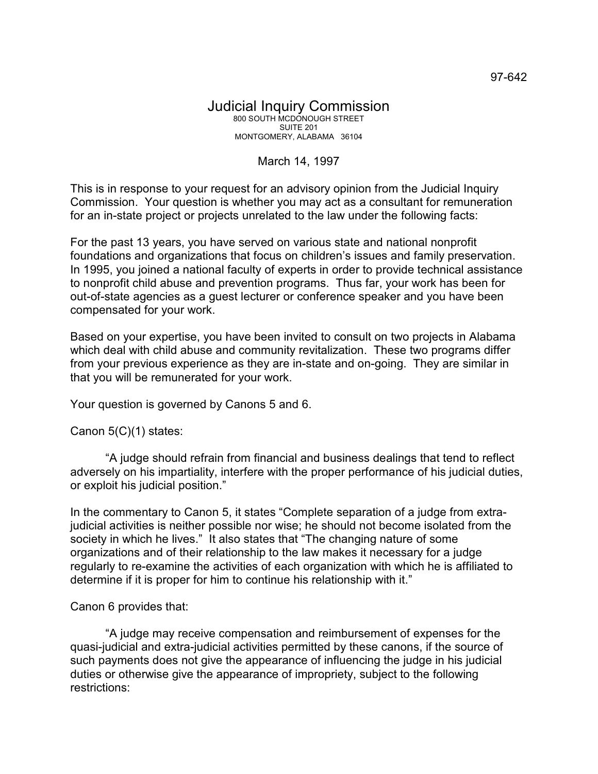## Judicial Inquiry Commission 800 SOUTH MCDONOUGH STREET SUITE 201 MONTGOMERY, ALABAMA 36104

## March 14, 1997

This is in response to your request for an advisory opinion from the Judicial Inquiry Commission. Your question is whether you may act as a consultant for remuneration for an in-state project or projects unrelated to the law under the following facts:

For the past 13 years, you have served on various state and national nonprofit foundations and organizations that focus on children's issues and family preservation. In 1995, you joined a national faculty of experts in order to provide technical assistance to nonprofit child abuse and prevention programs. Thus far, your work has been for out-of-state agencies as a guest lecturer or conference speaker and you have been compensated for your work.

Based on your expertise, you have been invited to consult on two projects in Alabama which deal with child abuse and community revitalization. These two programs differ from your previous experience as they are in-state and on-going. They are similar in that you will be remunerated for your work.

Your question is governed by Canons 5 and 6.

Canon 5(C)(1) states:

"A judge should refrain from financial and business dealings that tend to reflect adversely on his impartiality, interfere with the proper performance of his judicial duties, or exploit his judicial position."

In the commentary to Canon 5, it states "Complete separation of a judge from extrajudicial activities is neither possible nor wise; he should not become isolated from the society in which he lives." It also states that "The changing nature of some organizations and of their relationship to the law makes it necessary for a judge regularly to re-examine the activities of each organization with which he is affiliated to determine if it is proper for him to continue his relationship with it."

## Canon 6 provides that:

"A judge may receive compensation and reimbursement of expenses for the quasi-judicial and extra-judicial activities permitted by these canons, if the source of such payments does not give the appearance of influencing the judge in his judicial duties or otherwise give the appearance of impropriety, subject to the following restrictions: